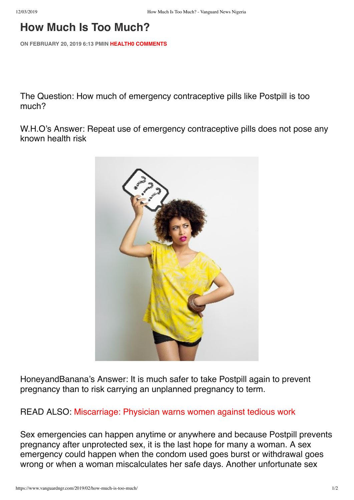## **How Much Is Too Much?**

**ON FEBRUARY 20, 2019 6:13 PMIN HEALTH0 COMMENTS**

The Question: How much of emergency contraceptive pills like Postpill is too much?

W.H.O's Answer: Repeat use of emergency contraceptive pills does not pose any known health risk



HoneyandBanana's Answer: It is much safer to take Postpill again to prevent pregnancy than to risk carrying an unplanned pregnancy to term.

READ ALSO: Miscarriage: Physician warns women against tedious work

Sex emergencies can happen anytime or anywhere and because Postpill prevents pregnancy after unprotected sex, it is the last hope for many a woman. A sex emergency could happen when the condom used goes burst or withdrawal goes wrong or when a woman miscalculates her safe days. Another unfortunate sex